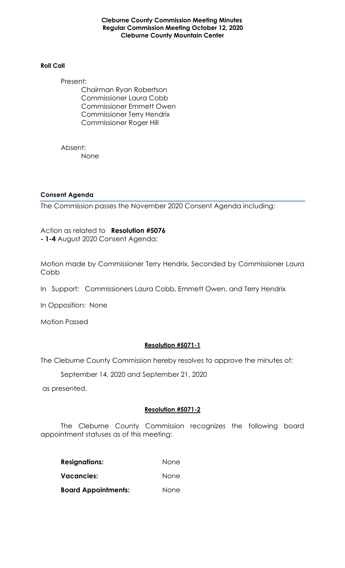**Cleburne County Commission Meeting Minutes Regular Commission Meeting October 12, 2020 Cleburne County Mountain Center**

#### **Roll Call**

Present: Chairman Ryan Robertson Commissioner Laura Cobb Commissioner Emmett Owen Commissioner Terry Hendrix Commissioner Roger Hill

Absent: None

## **Consent Agenda**

The Commission passes the November 2020 Consent Agenda including:

Action as related to **Resolution #5076 - 1-4** August 2020 Consent Agenda:

Motion made by Commissioner Terry Hendrix, Seconded by Commissioner Laura Cobb

In Support: Commissioners Laura Cobb, Emmett Owen, and Terry Hendrix

In Opposition: None

Motion Passed

# **Resolution #5071-1**

The Cleburne County Commission hereby resolves to approve the minutes of:

September 14, 2020 and September 21, 2020

as presented.

## **Resolution #5071-2**

The Cleburne County Commission recognizes the following board appointment statuses as of this meeting:

| <b>Resignations:</b><br>Vacancies: | None<br>None |
|------------------------------------|--------------|
|                                    |              |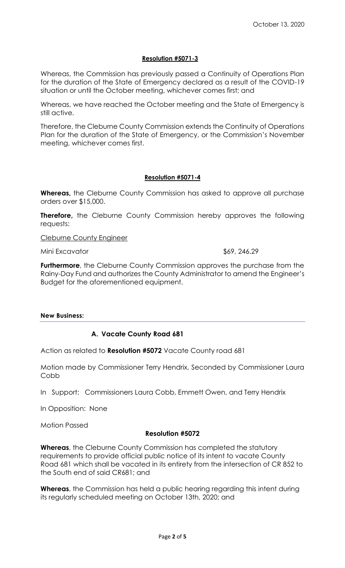## **Resolution #5071-3**

Whereas, the Commission has previously passed a Continuity of Operations Plan for the duration of the State of Emergency declared as a result of the COVID-19 situation or until the October meeting, whichever comes first; and

Whereas, we have reached the October meeting and the State of Emergency is still active.

Therefore, the Cleburne County Commission extends the Continuity of Operations Plan for the duration of the State of Emergency, or the Commission's November meeting, whichever comes first.

### **Resolution #5071-4**

**Whereas,** the Cleburne County Commission has asked to approve all purchase orders over \$15,000.

**Therefore,** the Cleburne County Commission hereby approves the following requests:

Cleburne County Engineer

Mini Excavator \$69, 246.29

**Furthermore**, the Cleburne County Commission approves the purchase from the Rainy-Day Fund and authorizes the County Administrator to amend the Engineer's Budget for the aforementioned equipment.

#### **New Business:**

## **A. Vacate County Road 681**

Action as related to **Resolution #5072** Vacate County road 681

Motion made by Commissioner Terry Hendrix, Seconded by Commissioner Laura **Cobb** 

In Support: Commissioners Laura Cobb, Emmett Owen, and Terry Hendrix

In Opposition: None

Motion Passed

#### **Resolution #5072**

**Whereas**, the Cleburne County Commission has completed the statutory requirements to provide official public notice of its intent to vacate County Road 681 which shall be vacated in its entirety from the intersection of CR 852 to the South end of said CR681; and

**Whereas**, the Commission has held a public hearing regarding this intent during its regularly scheduled meeting on October 13th, 2020; and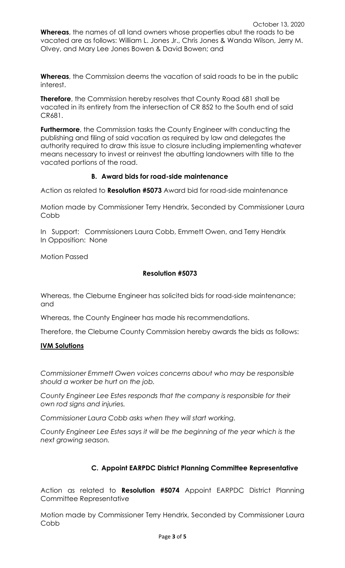**Whereas**, the names of all land owners whose properties abut the roads to be vacated are as follows: William L. Jones Jr., Chris Jones & Wanda Wilson, Jerry M. Olvey, and Mary Lee Jones Bowen & David Bowen; and

**Whereas**, the Commission deems the vacation of said roads to be in the public interest.

**Therefore**, the Commission hereby resolves that County Road 681 shall be vacated in its entirety from the intersection of CR 852 to the South end of said CR681.

**Furthermore**, the Commission tasks the County Engineer with conducting the publishing and filing of said vacation as required by law and delegates the authority required to draw this issue to closure including implementing whatever means necessary to invest or reinvest the abutting landowners with title to the vacated portions of the road.

## **B. Award bids for road-side maintenance**

Action as related to **Resolution #5073** Award bid for road-side maintenance

Motion made by Commissioner Terry Hendrix, Seconded by Commissioner Laura Cobb

In Support: Commissioners Laura Cobb, Emmett Owen, and Terry Hendrix In Opposition: None

Motion Passed

## **Resolution #5073**

Whereas, the Cleburne Engineer has solicited bids for road-side maintenance; and

Whereas, the County Engineer has made his recommendations.

Therefore, the Cleburne County Commission hereby awards the bids as follows:

## **IVM Solutions**

*Commissioner Emmett Owen voices concerns about who may be responsible should a worker be hurt on the job.*

*County Engineer Lee Estes responds that the company is responsible for their own rod signs and injuries.*

*Commissioner Laura Cobb asks when they will start working.*

*County Engineer Lee Estes says it will be the beginning of the year which is the next growing season.*

# **C. Appoint EARPDC District Planning Committee Representative**

Action as related to **Resolution #5074** Appoint EARPDC District Planning Committee Representative

Motion made by Commissioner Terry Hendrix, Seconded by Commissioner Laura Cobb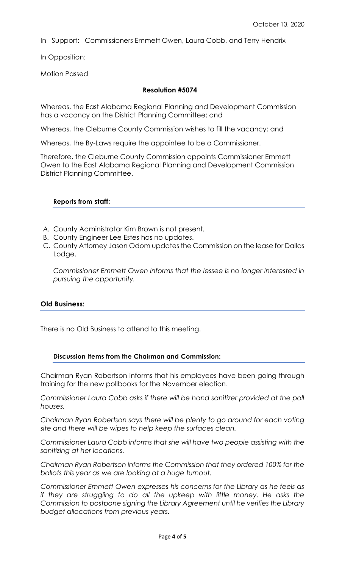In Support: Commissioners Emmett Owen, Laura Cobb, and Terry Hendrix

In Opposition:

Motion Passed

#### **Resolution #5074**

Whereas, the East Alabama Regional Planning and Development Commission has a vacancy on the District Planning Committee; and

Whereas, the Cleburne County Commission wishes to fill the vacancy; and

Whereas, the By-Laws require the appointee to be a Commissioner.

Therefore, the Cleburne County Commission appoints Commissioner Emmett Owen to the East Alabama Regional Planning and Development Commission District Planning Committee.

#### **Reports from staff:**

- *A.* County Administrator Kim Brown is not present*.*
- B. County Engineer Lee Estes has no updates.
- C. County Attorney Jason Odom updates the Commission on the lease for Dallas Lodge.

*Commissioner Emmett Owen informs that the lessee is no longer interested in pursuing the opportunity.* 

#### **Old Business:**

There is no Old Business to attend to this meeting.

#### **Discussion Items from the Chairman and Commission:**

Chairman Ryan Robertson informs that his employees have been going through training for the new pollbooks for the November election.

*Commissioner Laura Cobb asks if there will be hand sanitizer provided at the poll houses.*

*Chairman Ryan Robertson says there will be plenty to go around for each voting site and there will be wipes to help keep the surfaces clean.*

*Commissioner Laura Cobb informs that she will have two people assisting with the sanitizing at her locations.*

*Chairman Ryan Robertson informs the Commission that they ordered 100% for the ballots this year as we are looking at a huge turnout.*

*Commissioner Emmett Owen expresses his concerns for the Library as he feels as if they are struggling to do all the upkeep with little money. He asks the Commission to postpone signing the Library Agreement until he verifies the Library budget allocations from previous years.*